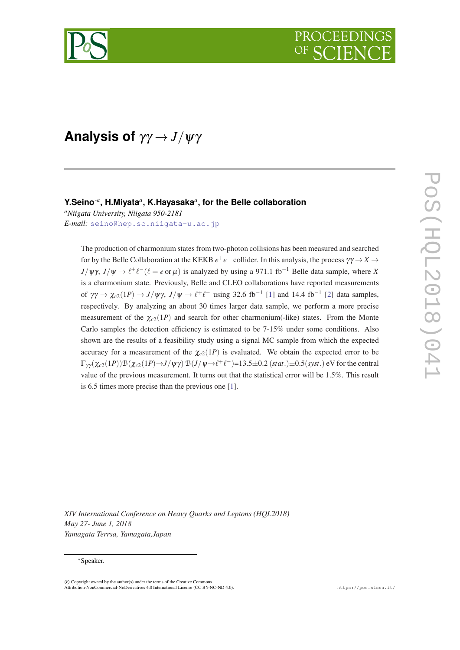

# **Analysis of** γγ → *J*/ψγ

# **Y.Seino**∗*<sup>a</sup>* **, H.Miyata***<sup>a</sup>* **, K.Hayasaka***<sup>a</sup>* **, for the Belle collaboration**

*<sup>a</sup>Niigata University, Niigata 950-2181 E-mail:* [seino@hep.sc.niigata-u.ac.jp](mailto:seino@hep.sc.niigata-u.ac.jp)

> The production of charmonium states from two-photon collisions has been measured and searched for by the Belle Collaboration at the KEKB  $e^+e^-$  collider. In this analysis, the process  $\gamma\gamma \to X \to$  $J/\psi\gamma$ ,  $J/\psi \to \ell^+ \ell^- (\ell = e$  or  $\mu)$  is analyzed by using a 971.1 fb<sup>-1</sup> Belle data sample, where *X* is a charmonium state. Previously, Belle and CLEO collaborations have reported measurements of  $\gamma\gamma \to \chi_{c2}(1P) \to J/\psi\gamma$ ,  $J/\psi \to \ell^+ \ell^-$  using 32.6 fb<sup>-1</sup> [[1\]](#page-4-0) and 14.4 fb<sup>-1</sup> [[2\]](#page-4-0) data samples, respectively. By analyzing an about 30 times larger data sample, we perform a more precise measurement of the  $\chi_{c2}(1P)$  and search for other charmonium(-like) states. From the Monte Carlo samples the detection efficiency is estimated to be 7-15% under some conditions. Also shown are the results of a feasibility study using a signal MC sample from which the expected accuracy for a measurement of the  $\chi_{c2}(1P)$  is evaluated. We obtain the expected error to be  $\Gamma_{\gamma\gamma}(\chi_{c2}(1P))\mathcal{B}(\chi_{c2}(1P) \to J/\psi\gamma) \mathcal{B}(J/\psi \to \ell^+\ell^-) = 13.5 \pm 0.2$  (*stat*.) $\pm 0.5$ (*syst*.) eV for the central value of the previous measurement. It turns out that the statistical error will be 1.5%. This result is 6.5 times more precise than the previous one [[1\]](#page-4-0).

*XIV International Conference on Heavy Quarks and Leptons (HQL2018) May 27- June 1, 2018 Yamagata Terrsa, Yamagata,Japan*

#### <sup>∗</sup>Speaker.

 $\overline{c}$  Copyright owned by the author(s) under the terms of the Creative Commons Attribution-NonCommercial-NoDerivatives 4.0 International License (CC BY-NC-ND 4.0). https://pos.sissa.it/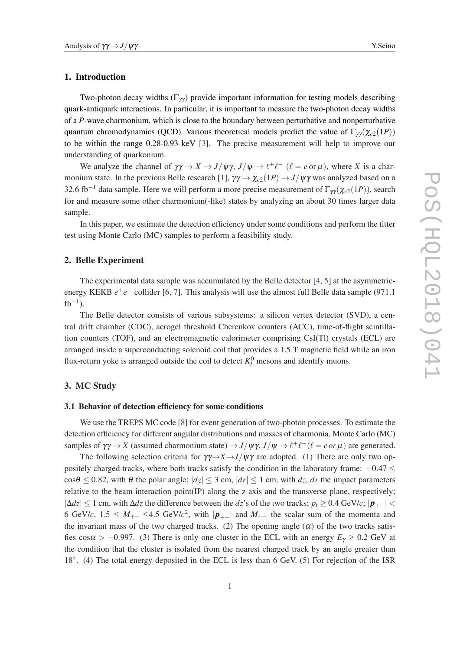#### 1. Introduction

Two-photon decay widths  $(\Gamma_{\gamma\gamma})$  provide important information for testing models describing quark-antiquark interactions. In particular, it is important to measure the two-photon decay widths of a *P*-wave charmonium, which is close to the boundary between perturbative and nonperturbative quantum chromodynamics (QCD). Various theoretical models predict the value of  $\Gamma_{\gamma\gamma}(\chi_{c2}(1P))$ to be within the range 0.28-0.93 keV [\[3\]](#page-4-0). The precise measurement will help to improve our understanding of quarkonium.

We analyze the channel of  $\gamma\gamma \to X \to J/\psi\gamma$ ,  $J/\psi \to \ell^+ \ell^-$  ( $\ell = e$  or  $\mu$ ), where *X* is a char-monium state. In the previous Belle research [\[1\]](#page-4-0),  $\gamma\gamma \to \chi_{c2}(1P) \to J/\psi\gamma$  was analyzed based on a 32.6 fb<sup>-1</sup> data sample. Here we will perform a more precise measurement of  $\Gamma_{\gamma\gamma}(\chi_{c2}(1P))$ , search for and measure some other charmonium(-like) states by analyzing an about 30 times larger data sample.

In this paper, we estimate the detection efficiency under some conditions and perform the fitter test using Monte Carlo (MC) samples to perform a feasibility study.

### 2. Belle Experiment

The experimental data sample was accumulated by the Belle detector [\[4,](#page-4-0) [5](#page-4-0)] at the asymmetricenergy KEKB  $e^+e^-$  collider [[6](#page-4-0), [7](#page-4-0)]. This analysis will use the almost full Belle data sample (971.1)  $fb^{-1}$ ).

The Belle detector consists of various subsystems: a silicon vertex detector (SVD), a central drift chamber (CDC), aerogel threshold Cherenkov counters (ACC), time-of-flight scintillation counters (TOF), and an electromagnetic calorimeter comprising CsI(Tl) crystals (ECL) are arranged inside a superconducting solenoid coil that provides a 1.5 T magnetic field while an iron flux-return yoke is arranged outside the coil to detect  $K_L^0$  mesons and identify muons.

# 3. MC Study

#### 3.1 Behavior of detection efficiency for some conditions

We use the TREPS MC code [[8](#page-4-0)] for event generation of two-photon processes. To estimate the detection efficiency for different angular distributions and masses of charmonia, Monte Carlo (MC) samples of  $\gamma\gamma \to X$  (assumed charmonium state)  $\to J/\psi\gamma$ ,  $J/\psi \to \ell^+ \ell^- (\ell = e \text{ or } \mu)$  are generated.

The following selection criteria for  $\gamma \gamma \rightarrow X \rightarrow J/\psi \gamma$  are adopted. (1) There are only two oppositely charged tracks, where both tracks satisfy the condition in the laboratory frame: −0.47 ≤  $\cos\theta \le 0.82$ , with  $\theta$  the polar angle;  $|dz| \le 3$  cm,  $|dr| \le 1$  cm, with dz, dr the impact parameters relative to the beam interaction point(IP) along the z axis and the transverse plane, respectively;  $|\Delta dz|$  ≤ 1 cm, with  $\Delta dz$  the difference between the *dz*'s of the two tracks; *p<sub>t</sub>* ≥ 0.4 GeV/*c*;  $|\boldsymbol{p}_{+-}|$  < 6 GeV/*c*,  $1.5 \n≤ M_{+-} \n≤ 4.5$  GeV/ $c^2$ , with  $|p_{+-}|$  and  $M_{+-}$  the scalar sum of the momenta and the invariant mass of the two charged tracks. (2) The opening angle  $(\alpha)$  of the two tracks satisfies cos $\alpha > -0.997$ . (3) There is only one cluster in the ECL with an energy  $E<sub>\gamma</sub> \ge 0.2$  GeV at the condition that the cluster is isolated from the nearest charged track by an angle greater than 18°. (4) The total energy deposited in the ECL is less than 6 GeV. (5) For rejection of the ISR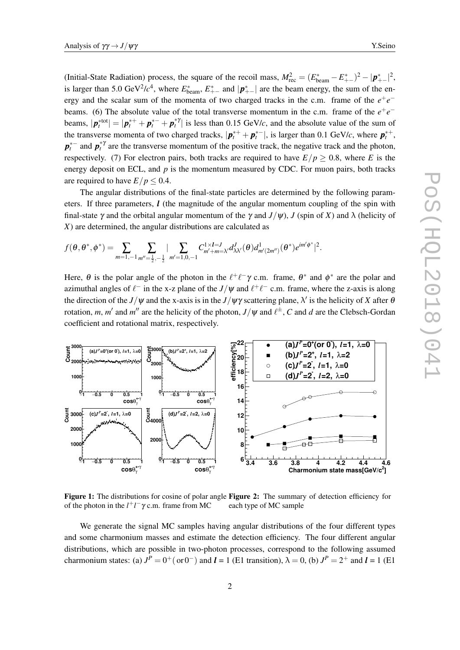<span id="page-2-0"></span>(Initial-State Radiation) process, the square of the recoil mass,  $M_{\text{rec}}^2 = (E_{\text{beam}}^* - E_{+-}^*)^2 - |\mathbf{p}_{+-}^*|^2$ , is larger than 5.0 GeV<sup>2</sup>/ $c^4$ , where  $E_{\text{beam}}^*$ ,  $E_{+-}^*$  and  $|\mathbf{p}_{+-}^*|$  are the beam energy, the sum of the energy and the scalar sum of the momenta of two charged tracks in the c.m. frame of the  $e^+e^$ beams. (6) The absolute value of the total transverse momentum in the c.m. frame of the  $e^+e^$ beams,  $|\mathbf{p}_t^{*}$ <sup>tot</sup> $| = |\mathbf{p}_t^{*+} + \mathbf{p}_t^{*+} + \mathbf{p}_t^{*}$  is less than 0.15 GeV/*c*, and the absolute value of the sum of the transverse momenta of two charged tracks,  $|p_t^{*+} + p_t^{*-}|$ , is larger than 0.1 GeV/*c*, where  $p_t^{*+}$ , *p*<sup>\*–</sup> and *p*<sup>\*γ</sup> are the transverse momentum of the positive track, the negative track and the photon, respectively. (7) For electron pairs, both tracks are required to have  $E/p \ge 0.8$ , where *E* is the energy deposit on ECL, and *p* is the momentum measured by CDC. For muon pairs, both tracks are required to have  $E/p \le 0.4$ .

The angular distributions of the final-state particles are determined by the following parameters. If three parameters, *l* (the magnitude of the angular momentum coupling of the spin with final-state  $\gamma$  and the orbital angular momentum of the  $\gamma$  and  $J/\psi$ ), *J* (spin of *X*) and  $\lambda$  (helicity of *X*) are determined, the angular distributions are calculated as

$$
f(\theta, \theta^*, \phi^*) = \sum_{m=1,-1} \sum_{m''=\frac{1}{2},-\frac{1}{2}} |\sum_{m'=1,0,-1} C_{m'+m=\lambda'}^{1 \times I=J} d_{\lambda \lambda'}^J(\theta) d_{m'(2m'')}^1(\theta^*) e^{im' \phi^*}|^2.
$$

Here,  $\theta$  is the polar angle of the photon in the  $\ell^+ \ell^- \gamma$  c.m. frame,  $\theta^*$  and  $\phi^*$  are the polar and azimuthal angles of  $\ell^-$  in the x-z plane of the *J*/ $\psi$  and  $\ell^+ \ell^-$  c.m. frame, where the z-axis is along the direction of the *J*/ $\psi$  and the x-axis is in the *J*/ $\psi\gamma$  scattering plane,  $\lambda'$  is the helicity of *X* after 6 rotation, *m*, *m'* and *m''* are the helicity of the photon,  $J/\psi$  and  $\ell^{\pm}$ , *C* and *d* are the Clebsch-Gordan coefficient and rotational matrix, respectively.



Figure 1: The distributions for cosine of polar angle Figure 2: The summary of detection efficiency for of the photon in the  $l^+l^- \gamma$  c.m. frame from MC each type of MC sample

We generate the signal MC samples having angular distributions of the four different types and some charmonium masses and estimate the detection efficiency. The four different angular distributions, which are possible in two-photon processes, correspond to the following assumed charmonium states: (a)  $J^P = 0^+$  (or 0<sup>-</sup>) and  $l = 1$  (E1 transition),  $\lambda = 0$ , (b)  $J^P = 2^+$  and  $l = 1$  (E1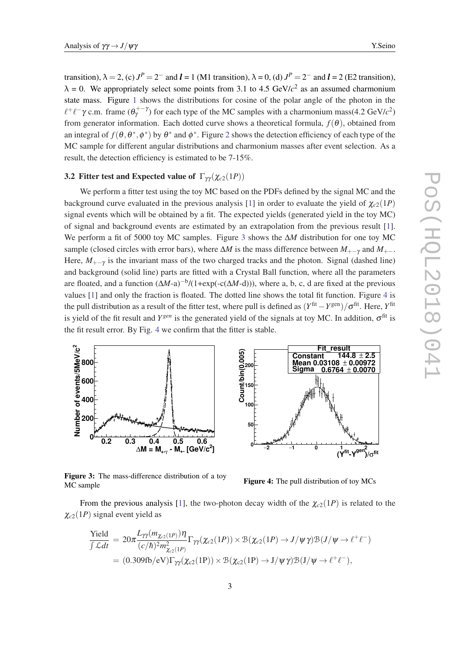transition),  $\lambda = 2$ , (c)  $J^P = 2^-$  and  $l = 1$  (M1 transition),  $\lambda = 0$ , (d)  $J^P = 2^-$  and  $l = 2$  (E2 transition),  $\lambda = 0$ . We appropriately select some points from 3.1 to 4.5 GeV/ $c^2$  as an assumed charmonium state mass. Figure [1](#page-2-0) shows the distributions for cosine of the polar angle of the photon in the  $\ell^+ \ell^- \gamma$  c.m. frame  $(\theta^{+-\gamma}_\gamma)$  for each type of the MC samples with a charmonium mass(4.2 GeV/*c*<sup>2</sup>) from generator information. Each dotted curve shows a theoretical formula,  $f(\theta)$ , obtained from an integral of  $f(\theta, \theta^*, \phi^*)$  by  $\theta^*$  and  $\phi^*$ . Figure [2](#page-2-0) shows the detection efficiency of each type of the MC sample for different angular distributions and charmonium masses after event selection. As a result, the detection efficiency is estimated to be 7-15%.

## **3.2 Fitter test and Expected value of**  $\Gamma_{\gamma\gamma}(\chi_{c2}(1P))$

We perform a fitter test using the toy MC based on the PDFs defined by the signal MC and the background curve evaluated in the previous analysis [\[1\]](#page-4-0) in order to evaluate the yield of  $\chi_{c2}(1P)$ signal events which will be obtained by a fit. The expected yields (generated yield in the toy MC) of signal and background events are estimated by an extrapolation from the previous result [\[1\]](#page-4-0). We perform a fit of 5000 toy MC samples. Figure 3 shows the ∆*M* distribution for one toy MC sample (closed circles with error bars), where  $\Delta M$  is the mass difference between  $M_{+}$ <sub>+</sub> and  $M_{+}$ . Here,  $M_{+-\gamma}$  is the invariant mass of the two charged tracks and the photon. Signal (dashed line) and background (solid line) parts are fitted with a Crystal Ball function, where all the parameters are floated, and a function (∆*M*-a)−<sup>b</sup> /(1+exp(-c(∆*M*-d))), where a, b, c, d are fixed at the previous values [[1](#page-4-0)] and only the fraction is floated. The dotted line shows the total fit function. Figure 4 is the pull distribution as a result of the fitter test, where pull is defined as (*Y* fit −*Y* gen)/σ fit. Here, *Y* fit is yield of the fit result and  $Y^{gen}$  is the generated yield of the signals at toy MC. In addition,  $\sigma^{fit}$  is the fit result error. By Fig. 4 we confirm that the fitter is stable.



**Constant 144.8** ± **2.5 Mean 0.00972 0.03108** ± **Sigma 0.6764** ± **0.0070 fit )/**σ **gen -Y fit (Y −2** −1 **0** 1  $\alpha$  an<sup>2</sup> **Count/bin(0.005) 0 50 100 150 200**

**Fit\_result**

Figure 3: The mass-difference distribution of a toy MC sample

Figure 4: The pull distribution of toy MCs

From the previous analysis [[1](#page-4-0)], the two-photon decay width of the  $\chi_{c2}(1P)$  is related to the  $\chi_{c2}(1P)$  signal event yield as

$$
\frac{\text{Yield}}{\int \mathcal{L}dt} = 20\pi \frac{L_{\gamma\gamma}(m_{\chi_{c2}(1P)})\eta}{(c/\hbar)^2 m_{\chi_{c2}(1P)}^2} \Gamma_{\gamma\gamma}(\chi_{c2}(1P)) \times \mathcal{B}(\chi_{c2}(1P) \to J/\psi \gamma) \mathcal{B}(J/\psi \to \ell^+ \ell^-)
$$
  
= (0.309fb/eV)  $\Gamma_{\gamma\gamma}(\chi_{c2}(1P)) \times \mathcal{B}(\chi_{c2}(1P) \to J/\psi \gamma) \mathcal{B}(J/\psi \to \ell^+ \ell^-),$